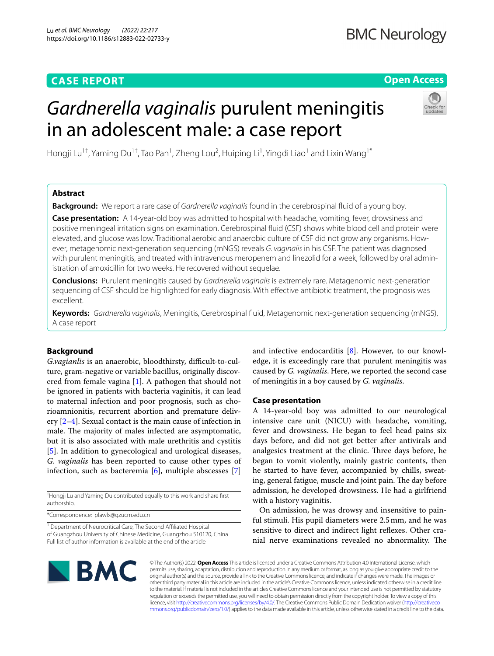## **CASE REPORT**

## **Open Access**

# *Gardnerella vaginalis* purulent meningitis in an adolescent male: a case report



Hongji Lu<sup>1†</sup>, Yaming Du<sup>1†</sup>, Tao Pan<sup>1</sup>, Zheng Lou<sup>2</sup>, Huiping Li<sup>1</sup>, Yingdi Liao<sup>1</sup> and Lixin Wang<sup>1\*</sup>

## **Abstract**

**Background:** We report a rare case of *Gardnerella vaginalis* found in the cerebrospinal fuid of a young boy.

**Case presentation:** A 14-year-old boy was admitted to hospital with headache, vomiting, fever, drowsiness and positive meningeal irritation signs on examination. Cerebrospinal fuid (CSF) shows white blood cell and protein were elevated, and glucose was low. Traditional aerobic and anaerobic culture of CSF did not grow any organisms. However, metagenomic next-generation sequencing (mNGS) reveals *G. vaginalis* in his CSF. The patient was diagnosed with purulent meningitis, and treated with intravenous meropenem and linezolid for a week, followed by oral administration of amoxicillin for two weeks. He recovered without sequelae.

**Conclusions:** Purulent meningitis caused by *Gardnerella vaginalis* is extremely rare. Metagenomic next-generation sequencing of CSF should be highlighted for early diagnosis. With efective antibiotic treatment, the prognosis was excellent.

**Keywords:** *Gardnerella vaginalis*, Meningitis, Cerebrospinal fuid, Metagenomic next-generation sequencing (mNGS), A case report

### **Background**

*G.vagianlis* is an anaerobic, bloodthirsty, difficult-to-culture, gram-negative or variable bacillus, originally discovered from female vagina [\[1\]](#page-3-0). A pathogen that should not be ignored in patients with bacteria vaginitis, it can lead to maternal infection and poor prognosis, such as chorioamnionitis, recurrent abortion and premature delivery [\[2](#page-3-1)[–4\]](#page-3-2). Sexual contact is the main cause of infection in male. The majority of males infected are asymptomatic, but it is also associated with male urethritis and cystitis [[5\]](#page-3-3). In addition to gynecological and urological diseases, *G. vaginalis* has been reported to cause other types of infection, such as bacteremia  $[6]$  $[6]$ , multiple abscesses  $[7]$  $[7]$ 

† Hongji Lu and Yaming Du contributed equally to this work and share frst authorship.

\*Correspondence: plawlx@gzucm.edu.cn

<sup>1</sup> Department of Neurocritical Care, The Second Affiliated Hospital of Guangzhou University of Chinese Medicine, Guangzhou 510120, China Full list of author information is available at the end of the article

and infective endocarditis [[8](#page-3-6)]. However, to our knowledge, it is exceedingly rare that purulent meningitis was caused by *G. vaginalis*. Here, we reported the second case of meningitis in a boy caused by *G. vaginalis*.

#### **Case presentation**

A 14-year-old boy was admitted to our neurological intensive care unit (NICU) with headache, vomiting, fever and drowsiness. He began to feel head pains six days before, and did not get better after antivirals and analgesics treatment at the clinic. Three days before, he began to vomit violently, mainly gastric contents, then he started to have fever, accompanied by chills, sweating, general fatigue, muscle and joint pain. The day before admission, he developed drowsiness. He had a girlfriend with a history vaginitis.

On admission, he was drowsy and insensitive to painful stimuli. His pupil diameters were 2.5mm, and he was sensitive to direct and indirect light refexes. Other cranial nerve examinations revealed no abnormality. The



© The Author(s) 2022. **Open Access** This article is licensed under a Creative Commons Attribution 4.0 International License, which permits use, sharing, adaptation, distribution and reproduction in any medium or format, as long as you give appropriate credit to the original author(s) and the source, provide a link to the Creative Commons licence, and indicate if changes were made. The images or other third party material in this article are included in the article's Creative Commons licence, unless indicated otherwise in a credit line to the material. If material is not included in the article's Creative Commons licence and your intended use is not permitted by statutory regulation or exceeds the permitted use, you will need to obtain permission directly from the copyright holder. To view a copy of this licence, visit [http://creativecommons.org/licenses/by/4.0/.](http://creativecommons.org/licenses/by/4.0/) The Creative Commons Public Domain Dedication waiver ([http://creativeco](http://creativecommons.org/publicdomain/zero/1.0/) [mmons.org/publicdomain/zero/1.0/](http://creativecommons.org/publicdomain/zero/1.0/)) applies to the data made available in this article, unless otherwise stated in a credit line to the data.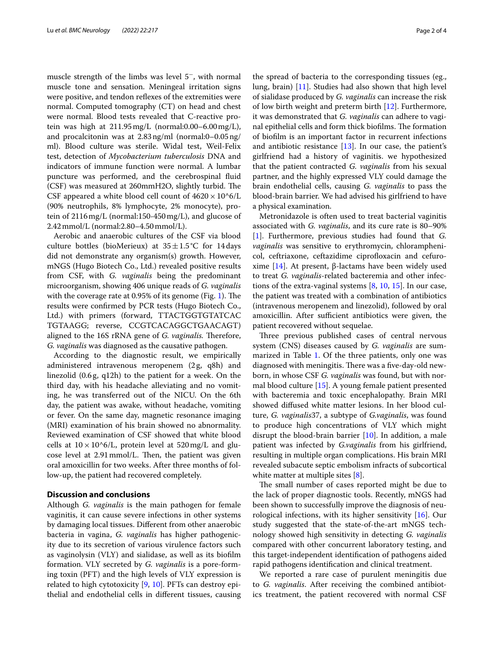muscle strength of the limbs was level 5<sup>−</sup>, with normal muscle tone and sensation. Meningeal irritation signs were positive, and tendon reflexes of the extremities were normal. Computed tomography (CT) on head and chest were normal. Blood tests revealed that C-reactive protein was high at 211.95mg/L (normal:0.00–6.00mg/L), and procalcitonin was at 2.83ng/ml (normal:0–0.05ng/ ml). Blood culture was sterile. Widal test, Weil-Felix test, detection of *Mycobacterium tuberculosis* DNA and indicators of immune function were normal. A lumbar puncture was performed, and the cerebrospinal fuid (CSF) was measured at 260mmH2O, slightly turbid. The CSF appeared a white blood cell count of  $4620 \times 10^{6}/L$ (90% neutrophils, 8% lymphocyte, 2% monocyte), protein of 2116mg/L (normal:150-450mg/L), and glucose of 2.42mmol/L (normal:2.80–4.50mmol/L).

Aerobic and anaerobic cultures of the CSF via blood culture bottles (bioMerieux) at  $35 \pm 1.5^{\circ}$ C for 14 days did not demonstrate any organism(s) growth. However, mNGS (Hugo Biotech Co., Ltd.) revealed positive results from CSF, with *G. vaginalis* being the predominant microorganism, showing 406 unique reads of *G. vaginalis* with the coverage rate at  $0.95\%$  of its genome (Fig. [1](#page-2-0)). The results were confrmed by PCR tests (Hugo Biotech Co., Ltd.) with primers (forward, TTACTGGTGTATCAC TGTAAGG; reverse, CCGTCACAGGCTGAACAGT) aligned to the 16S rRNA gene of *G. vaginalis*. Therefore, *G. vaginalis* was diagnosed as the causative pathogen.

According to the diagnostic result, we empirically administered intravenous meropenem (2 g, q8h) and linezolid (0.6g, q12h) to the patient for a week. On the third day, with his headache alleviating and no vomiting, he was transferred out of the NICU. On the 6th day, the patient was awake, without headache, vomiting or fever. On the same day, magnetic resonance imaging (MRI) examination of his brain showed no abnormality. Reviewed examination of CSF showed that white blood cells at  $10 \times 10^{6}$ /L, protein level at 520mg/L and glucose level at  $2.91$  mmol/L. Then, the patient was given oral amoxicillin for two weeks. After three months of follow-up, the patient had recovered completely.

#### **Discussion and conclusions**

Although *G. vaginalis* is the main pathogen for female vaginitis, it can cause severe infections in other systems by damaging local tissues. Diferent from other anaerobic bacteria in vagina, *G. vaginalis* has higher pathogenicity due to its secretion of various virulence factors such as vaginolysin (VLY) and sialidase, as well as its bioflm formation. VLY secreted by *G. vaginalis* is a pore-forming toxin (PFT) and the high levels of VLY expression is related to high cytotoxicity [\[9](#page-3-7), [10](#page-3-8)]. PFTs can destroy epithelial and endothelial cells in diferent tissues, causing the spread of bacteria to the corresponding tissues (eg., lung, brain) [[11](#page-3-9)]. Studies had also shown that high level of sialidase produced by *G. vaginalis* can increase the risk of low birth weight and preterm birth [[12\]](#page-3-10). Furthermore, it was demonstrated that *G. vaginalis* can adhere to vaginal epithelial cells and form thick biofilms. The formation of bioflm is an important factor in recurrent infections and antibiotic resistance [\[13](#page-3-11)]. In our case, the patient's girlfriend had a history of vaginitis. we hypothesized that the patient contracted *G. vaginalis* from his sexual partner, and the highly expressed VLY could damage the brain endothelial cells, causing *G. vaginalis* to pass the blood-brain barrier. We had advised his girlfriend to have a physical examination.

Metronidazole is often used to treat bacterial vaginitis associated with *G. vaginalis*, and its cure rate is 80–90% [[1\]](#page-3-0). Furthermore, previous studies had found that *G. vaginalis* was sensitive to erythromycin, chloramphenicol, ceftriaxone, ceftazidime ciprofloxacin and cefuro-xime [[14](#page-3-12)]. At present, β-lactams have been widely used to treat *G. vaginalis*-related bacteremia and other infections of the extra-vaginal systems [[8,](#page-3-6) [10,](#page-3-8) [15](#page-3-13)]. In our case, the patient was treated with a combination of antibiotics (intravenous meropenem and linezolid), followed by oral amoxicillin. After sufficient antibiotics were given, the patient recovered without sequelae.

Three previous published cases of central nervous system (CNS) diseases caused by *G. vaginalis* are summarized in Table [1.](#page-2-1) Of the three patients, only one was diagnosed with meningitis. There was a five-day-old newborn, in whose CSF *G. vaginalis* was found, but with normal blood culture [\[15\]](#page-3-13). A young female patient presented with bacteremia and toxic encephalopathy. Brain MRI showed difused white matter lesions. In her blood culture, *G. vaginalis*37, a subtype of *G.vaginalis*, was found to produce high concentrations of VLY which might disrupt the blood-brain barrier [[10](#page-3-8)]. In addition, a male patient was infected by *G.vaginalis* from his girlfriend, resulting in multiple organ complications. His brain MRI revealed subacute septic embolism infracts of subcortical white matter at multiple sites [[8\]](#page-3-6).

The small number of cases reported might be due to the lack of proper diagnostic tools. Recently, mNGS had been shown to successfully improve the diagnosis of neurological infections, with its higher sensitivity [[16\]](#page-3-14). Our study suggested that the state-of-the-art mNGS technology showed high sensitivity in detecting *G. vaginalis* compared with other concurrent laboratory testing, and this target-independent identifcation of pathogens aided rapid pathogens identifcation and clinical treatment.

We reported a rare case of purulent meningitis due to *G. vaginalis*. After receiving the combined antibiotics treatment, the patient recovered with normal CSF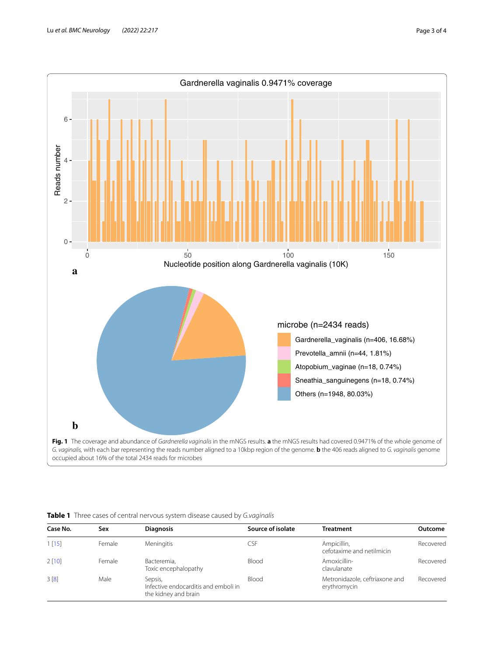

<span id="page-2-1"></span><span id="page-2-0"></span>

|  |  |  | Table 1 Three cases of central nervous system disease caused by G.vaginalis |
|--|--|--|-----------------------------------------------------------------------------|
|  |  |  |                                                                             |

| Case No. | Sex    | <b>Diagnosis</b>                                                        | Source of isolate | <b>Treatment</b>                               | Outcome   |
|----------|--------|-------------------------------------------------------------------------|-------------------|------------------------------------------------|-----------|
| 1[15]    | Female | <b>Meningitis</b>                                                       | CSF               | Ampicillin,<br>cefotaxime and netilmicin       | Recovered |
| 2[10]    | Female | Bacteremia,<br>Toxic encephalopathy                                     | Blood             | Amoxicillin-<br>clavulanate                    | Recovered |
| 3[8]     | Male   | Sepsis,<br>Infective endocarditis and emboli in<br>the kidney and brain | Blood             | Metronidazole, ceftriaxone and<br>erythromycin | Recovered |